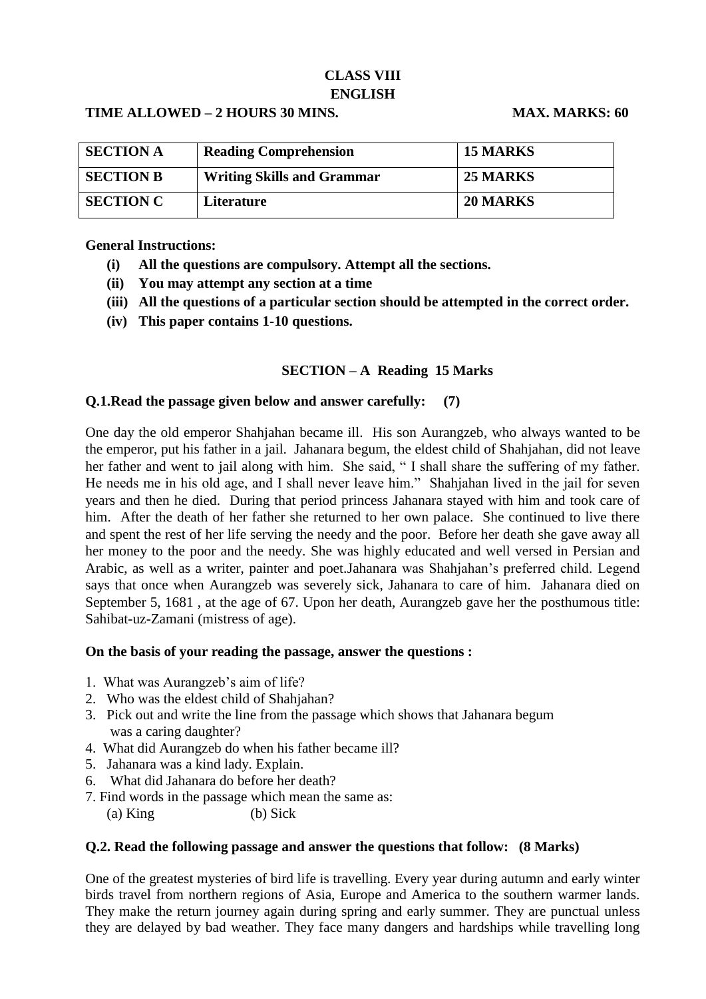# **CLASS VIII ENGLISH**

### **TIME ALLOWED – 2 HOURS 30 MINS. MAX. MARKS: 60**

| <b>SECTION A</b> | <b>Reading Comprehension</b>      | <b>15 MARKS</b> |
|------------------|-----------------------------------|-----------------|
| <b>SECTION B</b> | <b>Writing Skills and Grammar</b> | <b>25 MARKS</b> |
| <b>SECTION C</b> | Literature                        | <b>20 MARKS</b> |

### **General Instructions:**

- **(i) All the questions are compulsory. Attempt all the sections.**
- **(ii) You may attempt any section at a time**
- **(iii) All the questions of a particular section should be attempted in the correct order.**
- **(iv) This paper contains 1-10 questions.**

### **SECTION – A Reading 15 Marks**

### **Q.1.Read the passage given below and answer carefully: (7)**

One day the old emperor Shahjahan became ill. His son Aurangzeb, who always wanted to be the emperor, put his father in a jail. Jahanara begum, the eldest child of Shahjahan, did not leave her father and went to jail along with him. She said, " I shall share the suffering of my father. He needs me in his old age, and I shall never leave him." Shahjahan lived in the jail for seven years and then he died. During that period princess Jahanara stayed with him and took care of him. After the death of her father she returned to her own palace. She continued to live there and spent the rest of her life serving the needy and the poor. Before her death she gave away all her money to the poor and the needy. She was highly educated and well versed in Persian and Arabic, as well as a writer, painter and poet.Jahanara was Shahjahan's preferred child. Legend says that once when Aurangzeb was severely sick, Jahanara to care of him. Jahanara died on September 5, 1681 , at the age of 67. Upon her death, Aurangzeb gave her the posthumous title: Sahibat-uz-Zamani (mistress of age).

### **On the basis of your reading the passage, answer the questions :**

- 1. What was Aurangzeb's aim of life?
- 2. Who was the eldest child of Shahjahan?
- 3. Pick out and write the line from the passage which shows that Jahanara begum was a caring daughter?
- 4. What did Aurangzeb do when his father became ill?
- 5. Jahanara was a kind lady. Explain.
- 6. What did Jahanara do before her death?
- 7. Find words in the passage which mean the same as:

(a) King (b) Sick

### **Q.2. Read the following passage and answer the questions that follow: (8 Marks)**

One of the greatest mysteries of bird life is travelling. Every year during autumn and early winter birds travel from northern regions of Asia, Europe and America to the southern warmer lands. They make the return journey again during spring and early summer. They are punctual unless they are delayed by bad weather. They face many dangers and hardships while travelling long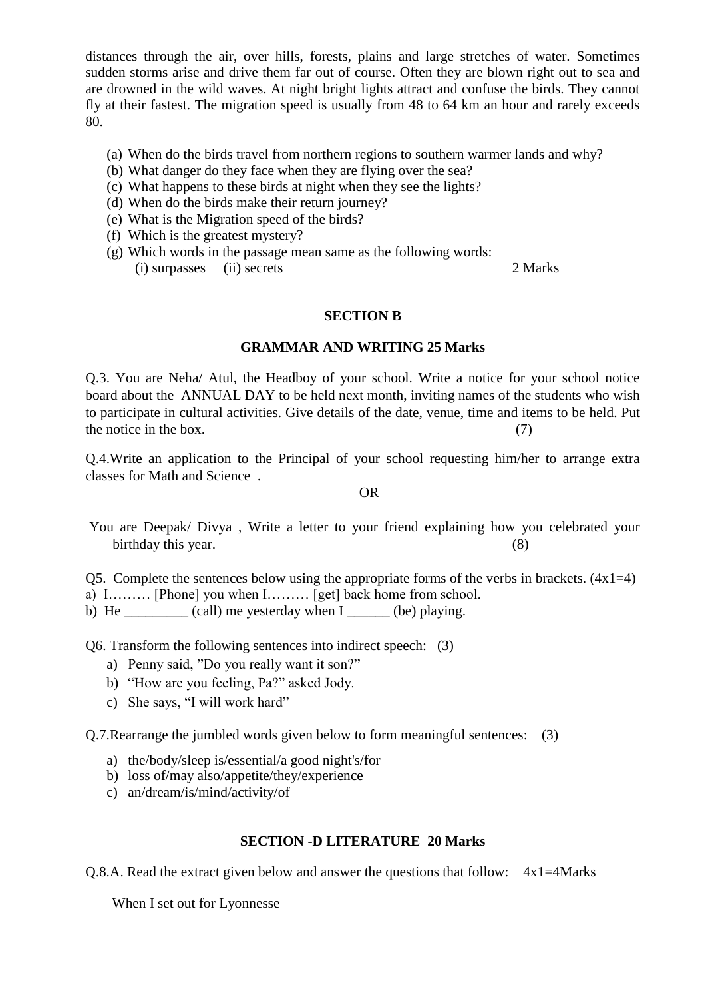distances through the air, over hills, forests, plains and large stretches of water. Sometimes sudden storms arise and drive them far out of course. Often they are blown right out to sea and are drowned in the wild waves. At night bright lights attract and confuse the birds. They cannot fly at their fastest. The migration speed is usually from 48 to 64 km an hour and rarely exceeds 80.

- (a) When do the birds travel from northern regions to southern warmer lands and why?
- (b) What danger do they face when they are flying over the sea?
- (c) What happens to these birds at night when they see the lights?
- (d) When do the birds make their return journey?
- (e) What is the Migration speed of the birds?
- (f) Which is the greatest mystery?
- (g) Which words in the passage mean same as the following words: (i) surpasses (ii) secrets 2 Marks

#### **SECTION B**

#### **GRAMMAR AND WRITING 25 Marks**

Q.3. You are Neha/ Atul, the Headboy of your school. Write a notice for your school notice board about the ANNUAL DAY to be held next month, inviting names of the students who wish to participate in cultural activities. Give details of the date, venue, time and items to be held. Put the notice in the box.  $(7)$ 

Q.4.Write an application to the Principal of your school requesting him/her to arrange extra classes for Math and Science .

#### OR

- You are Deepak/ Divya , Write a letter to your friend explaining how you celebrated your birthday this year. (8)
- Q5. Complete the sentences below using the appropriate forms of the verbs in brackets.  $(4x1=4)$
- a) I……… [Phone] you when I……… [get] back home from school.
- b) He  $\qquad$  (call) me yesterday when I  $\qquad$  (be) playing.

Q6. Transform the following sentences into indirect speech: (3)

- a) Penny said, "Do you really want it son?"
- b) "How are you feeling, Pa?" asked Jody.
- c) She says, "I will work hard"

Q.7.Rearrange the jumbled words given below to form meaningful sentences: (3)

- a) the/body/sleep is/essential/a good night's/for
- b) loss of/may also/appetite/they/experience
- c) an/dream/is/mind/activity/of

### **SECTION -D LITERATURE 20 Marks**

Q.8.A. Read the extract given below and answer the questions that follow: 4x1=4Marks

When I set out for Lyonnesse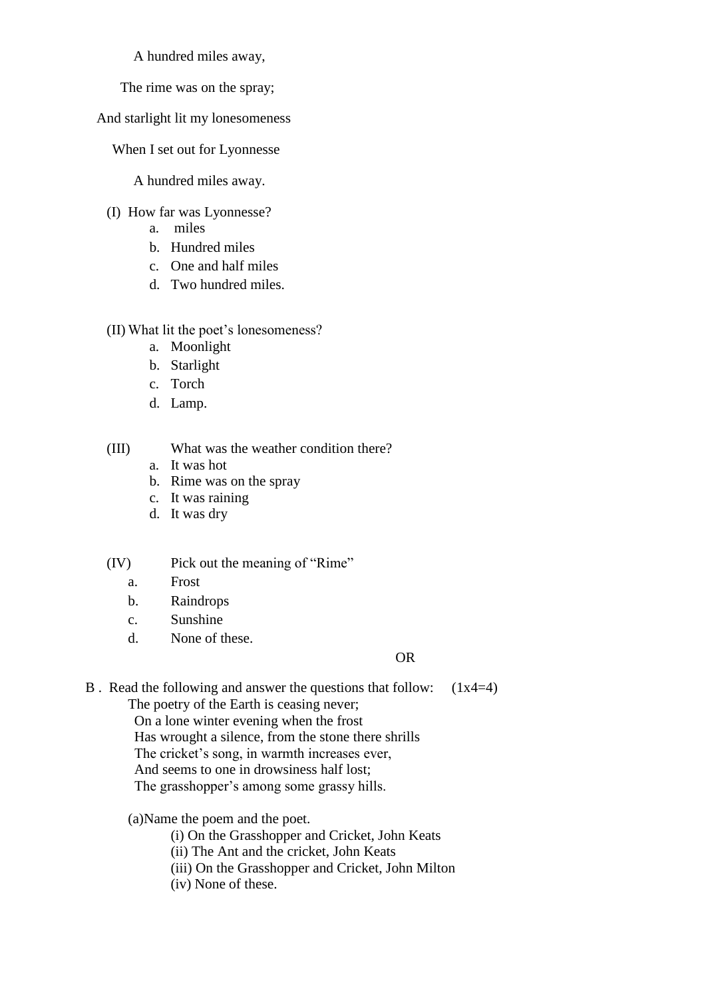A hundred miles away,

The rime was on the spray;

And starlight lit my lonesomeness

When I set out for Lyonnesse

A hundred miles away.

- (I) How far was Lyonnesse?
	- a. miles
	- b. Hundred miles
	- c. One and half miles
	- d. Two hundred miles.
- (II) What lit the poet's lonesomeness?
	- a. Moonlight
	- b. Starlight
	- c. Torch
	- d. Lamp.

(III) What was the weather condition there?

- a. It was hot
- b. Rime was on the spray
- c. It was raining
- d. It was dry

(IV) Pick out the meaning of "Rime"

- a. Frost
- b. Raindrops
- c. Sunshine
- d. None of these.

## OR

B . Read the following and answer the questions that follow: (1x4=4)

The poetry of the Earth is ceasing never; On a lone winter evening when the frost

Has wrought a silence, from the stone there shrills

The cricket's song, in warmth increases ever,

And seems to one in drowsiness half lost;

The grasshopper's among some grassy hills.

(a)Name the poem and the poet.

(i) On the Grasshopper and Cricket, John Keats

(ii) The Ant and the cricket, John Keats

(iii) On the Grasshopper and Cricket, John Milton

(iv) None of these.